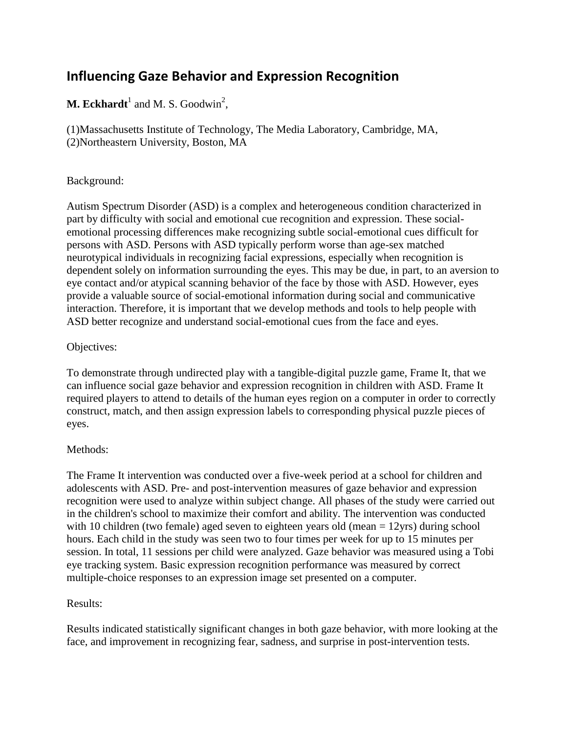# **Influencing Gaze Behavior and Expression Recognition**

## **M. Eckhardt**<sup>1</sup> and M. S. Goodwin<sup>2</sup>,

(1)Massachusetts Institute of Technology, The Media Laboratory, Cambridge, MA, (2)Northeastern University, Boston, MA

### Background:

Autism Spectrum Disorder (ASD) is a complex and heterogeneous condition characterized in part by difficulty with social and emotional cue recognition and expression. These socialemotional processing differences make recognizing subtle social-emotional cues difficult for persons with ASD. Persons with ASD typically perform worse than age-sex matched neurotypical individuals in recognizing facial expressions, especially when recognition is dependent solely on information surrounding the eyes. This may be due, in part, to an aversion to eye contact and/or atypical scanning behavior of the face by those with ASD. However, eyes provide a valuable source of social-emotional information during social and communicative interaction. Therefore, it is important that we develop methods and tools to help people with ASD better recognize and understand social-emotional cues from the face and eyes.

### Objectives:

To demonstrate through undirected play with a tangible-digital puzzle game, Frame It, that we can influence social gaze behavior and expression recognition in children with ASD. Frame It required players to attend to details of the human eyes region on a computer in order to correctly construct, match, and then assign expression labels to corresponding physical puzzle pieces of eyes.

### Methods:

The Frame It intervention was conducted over a five-week period at a school for children and adolescents with ASD. Pre- and post-intervention measures of gaze behavior and expression recognition were used to analyze within subject change. All phases of the study were carried out in the children's school to maximize their comfort and ability. The intervention was conducted with 10 children (two female) aged seven to eighteen years old (mean = 12yrs) during school hours. Each child in the study was seen two to four times per week for up to 15 minutes per session. In total, 11 sessions per child were analyzed. Gaze behavior was measured using a Tobi eye tracking system. Basic expression recognition performance was measured by correct multiple-choice responses to an expression image set presented on a computer.

### Results:

Results indicated statistically significant changes in both gaze behavior, with more looking at the face, and improvement in recognizing fear, sadness, and surprise in post-intervention tests.